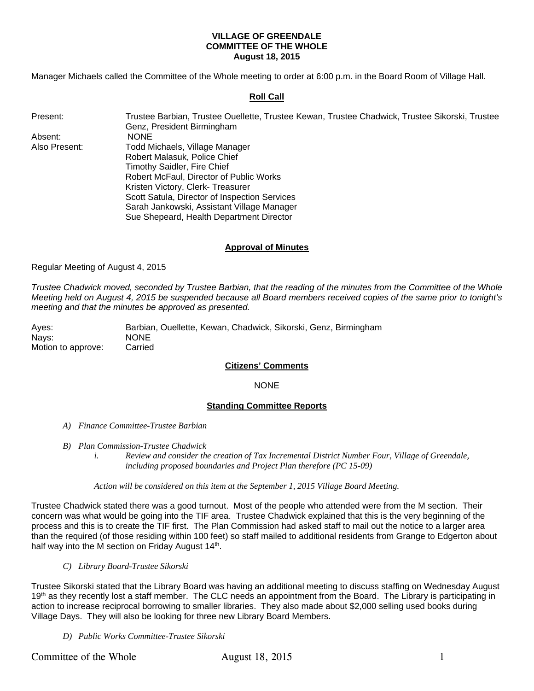## **VILLAGE OF GREENDALE COMMITTEE OF THE WHOLE August 18, 2015**

Manager Michaels called the Committee of the Whole meeting to order at 6:00 p.m. in the Board Room of Village Hall.

## **Roll Call**

| Present:      | Trustee Barbian, Trustee Ouellette, Trustee Kewan, Trustee Chadwick, Trustee Sikorski, Trustee |  |  |  |  |
|---------------|------------------------------------------------------------------------------------------------|--|--|--|--|
|               | Genz, President Birmingham                                                                     |  |  |  |  |
| Absent:       | NONE.                                                                                          |  |  |  |  |
| Also Present: | Todd Michaels, Village Manager                                                                 |  |  |  |  |
|               | Robert Malasuk, Police Chief                                                                   |  |  |  |  |
|               | Timothy Saidler, Fire Chief                                                                    |  |  |  |  |
|               | Robert McFaul, Director of Public Works                                                        |  |  |  |  |
|               | Kristen Victory, Clerk-Treasurer                                                               |  |  |  |  |
|               | Scott Satula, Director of Inspection Services                                                  |  |  |  |  |
|               | Sarah Jankowski, Assistant Village Manager                                                     |  |  |  |  |
|               | Sue Shepeard, Health Department Director                                                       |  |  |  |  |

### **Approval of Minutes**

Regular Meeting of August 4, 2015

*Trustee Chadwick moved, seconded by Trustee Barbian, that the reading of the minutes from the Committee of the Whole Meeting held on August 4, 2015 be suspended because all Board members received copies of the same prior to tonight's meeting and that the minutes be approved as presented.* 

Ayes: Barbian, Ouellette, Kewan, Chadwick, Sikorski, Genz, Birmingham Nays: NONE Motion to approve: Carried

## **Citizens' Comments**

### NONE

### **Standing Committee Reports**

- *A) Finance Committee-Trustee Barbian*
- *B) Plan Commission-Trustee Chadwick* 
	- *i. Review and consider the creation of Tax Incremental District Number Four, Village of Greendale, including proposed boundaries and Project Plan therefore (PC 15-09)*

#### *Action will be considered on this item at the September 1, 2015 Village Board Meeting.*

Trustee Chadwick stated there was a good turnout. Most of the people who attended were from the M section. Their concern was what would be going into the TIF area. Trustee Chadwick explained that this is the very beginning of the process and this is to create the TIF first. The Plan Commission had asked staff to mail out the notice to a larger area than the required (of those residing within 100 feet) so staff mailed to additional residents from Grange to Edgerton about half way into the M section on Friday August  $14<sup>th</sup>$ .

*C) Library Board-Trustee Sikorski* 

Trustee Sikorski stated that the Library Board was having an additional meeting to discuss staffing on Wednesday August 19<sup>th</sup> as they recently lost a staff member. The CLC needs an appointment from the Board. The Library is participating in action to increase reciprocal borrowing to smaller libraries. They also made about \$2,000 selling used books during Village Days. They will also be looking for three new Library Board Members.

*D) Public Works Committee-Trustee Sikorski*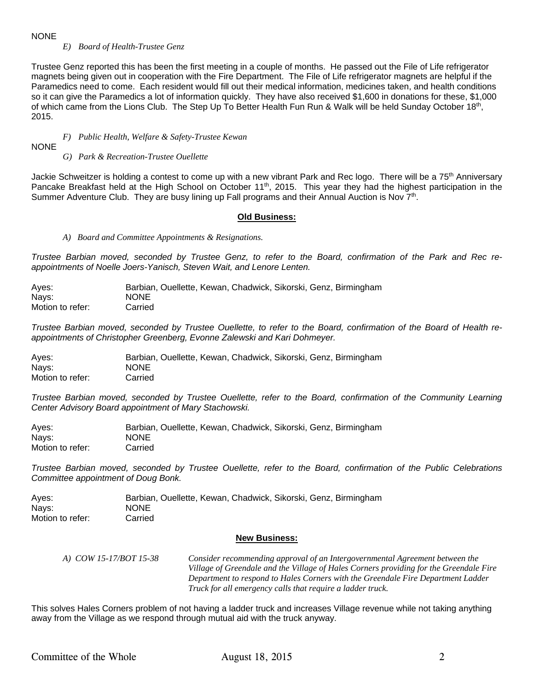### NONE

*E) Board of Health-Trustee Genz* 

Trustee Genz reported this has been the first meeting in a couple of months. He passed out the File of Life refrigerator magnets being given out in cooperation with the Fire Department. The File of Life refrigerator magnets are helpful if the Paramedics need to come. Each resident would fill out their medical information, medicines taken, and health conditions so it can give the Paramedics a lot of information quickly. They have also received \$1,600 in donations for these, \$1,000 of which came from the Lions Club. The Step Up To Better Health Fun Run & Walk will be held Sunday October 18th, 2015.

## *F) Public Health, Welfare & Safety-Trustee Kewan*

NONE

*G) Park & Recreation-Trustee Ouellette* 

Jackie Schweitzer is holding a contest to come up with a new vibrant Park and Rec logo. There will be a 75<sup>th</sup> Anniversary Pancake Breakfast held at the High School on October 11<sup>th</sup>, 2015. This year they had the highest participation in the Summer Adventure Club. They are busy lining up Fall programs and their Annual Auction is Nov 7<sup>th</sup>.

#### **Old Business:**

*A) Board and Committee Appointments & Resignations.* 

*Trustee Barbian moved, seconded by Trustee Genz, to refer to the Board, confirmation of the Park and Rec reappointments of Noelle Joers-Yanisch, Steven Wait, and Lenore Lenten.* 

| Aves:            | Barbian, Ouellette, Kewan, Chadwick, Sikorski, Genz, Birmingham |
|------------------|-----------------------------------------------------------------|
| Navs:            | <b>NONE</b>                                                     |
| Motion to refer: | Carried                                                         |

*Trustee Barbian moved, seconded by Trustee Ouellette, to refer to the Board, confirmation of the Board of Health reappointments of Christopher Greenberg, Evonne Zalewski and Kari Dohmeyer.* 

Ayes: Barbian, Ouellette, Kewan, Chadwick, Sikorski, Genz, Birmingham Nays: NONE Motion to refer: Carried

*Trustee Barbian moved, seconded by Trustee Ouellette, refer to the Board, confirmation of the Community Learning Center Advisory Board appointment of Mary Stachowski.* 

Ayes: Barbian, Ouellette, Kewan, Chadwick, Sikorski, Genz, Birmingham Nays: NONE Motion to refer: Carried

*Trustee Barbian moved, seconded by Trustee Ouellette, refer to the Board, confirmation of the Public Celebrations Committee appointment of Doug Bonk.* 

| Ayes:            | Barbian, Ouellette, Kewan, Chadwick, Sikorski, Genz, Birmingham |  |  |  |
|------------------|-----------------------------------------------------------------|--|--|--|
| Nays:            | <b>NONE</b>                                                     |  |  |  |
| Motion to refer: | Carried                                                         |  |  |  |

### **New Business:**

 *A) COW 15-17/BOT 15-38 Consider recommending approval of an Intergovernmental Agreement between the Village of Greendale and the Village of Hales Corners providing for the Greendale Fire Department to respond to Hales Corners with the Greendale Fire Department Ladder Truck for all emergency calls that require a ladder truck.*

This solves Hales Corners problem of not having a ladder truck and increases Village revenue while not taking anything away from the Village as we respond through mutual aid with the truck anyway.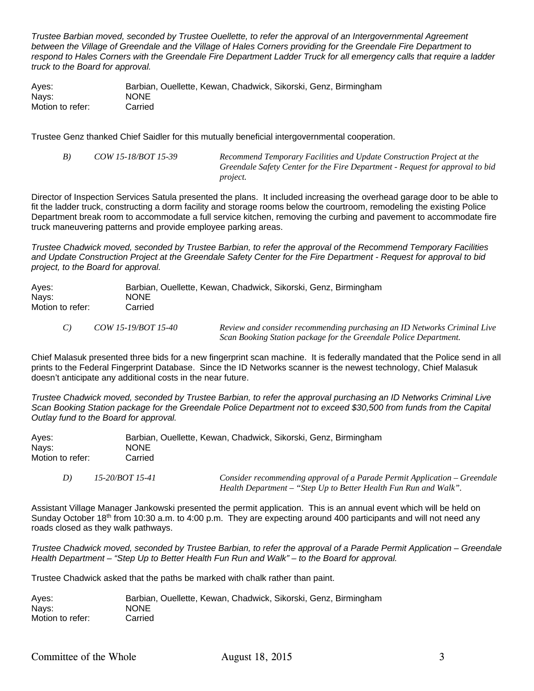*Trustee Barbian moved, seconded by Trustee Ouellette, to refer the approval of an Intergovernmental Agreement*  between the Village of Greendale and the Village of Hales Corners providing for the Greendale Fire Department to respond to Hales Corners with the Greendale Fire Department Ladder Truck for all emergency calls that require a ladder *truck to the Board for approval.* 

Ayes: Barbian, Ouellette, Kewan, Chadwick, Sikorski, Genz, Birmingham Nays: NONE Motion to refer: Carried

Trustee Genz thanked Chief Saidler for this mutually beneficial intergovernmental cooperation.

 *B) COW 15-18/BOT 15-39 Recommend Temporary Facilities and Update Construction Project at the Greendale Safety Center for the Fire Department - Request for approval to bid project.*

Director of Inspection Services Satula presented the plans. It included increasing the overhead garage door to be able to fit the ladder truck, constructing a dorm facility and storage rooms below the courtroom, remodeling the existing Police Department break room to accommodate a full service kitchen, removing the curbing and pavement to accommodate fire truck maneuvering patterns and provide employee parking areas.

*Trustee Chadwick moved, seconded by Trustee Barbian, to refer the approval of the Recommend Temporary Facilities and Update Construction Project at the Greendale Safety Center for the Fire Department - Request for approval to bid project, to the Board for approval.* 

| Aves:<br>Nays:<br>Motion to refer: | NONE.<br>Carried    | Barbian, Ouellette, Kewan, Chadwick, Sikorski, Genz, Birmingham                                                                               |  |  |  |
|------------------------------------|---------------------|-----------------------------------------------------------------------------------------------------------------------------------------------|--|--|--|
| C)                                 | COW 15-19/BOT 15-40 | Review and consider recommending purchasing an ID Networks Criminal Live<br>Scan Booking Station package for the Greendale Police Department. |  |  |  |

Chief Malasuk presented three bids for a new fingerprint scan machine. It is federally mandated that the Police send in all prints to the Federal Fingerprint Database. Since the ID Networks scanner is the newest technology, Chief Malasuk doesn't anticipate any additional costs in the near future.

*Trustee Chadwick moved, seconded by Trustee Barbian, to refer the approval purchasing an ID Networks Criminal Live Scan Booking Station package for the Greendale Police Department not to exceed \$30,500 from funds from the Capital Outlay fund to the Board for approval.* 

| Aves:            | Barbian, Ouellette, Kewan, Chadwick, Sikorski, Genz, Birmingham |
|------------------|-----------------------------------------------------------------|
| Navs:            | <b>NONE</b>                                                     |
| Motion to refer: | Carried                                                         |

| 15-20/BOT 15-41 | Consider recommending approval of a Parade Permit Application – Greendale |
|-----------------|---------------------------------------------------------------------------|
|                 | Health Department – "Step Up to Better Health Fun Run and Walk".          |

Assistant Village Manager Jankowski presented the permit application. This is an annual event which will be held on Sunday October 18<sup>th</sup> from 10:30 a.m. to 4:00 p.m. They are expecting around 400 participants and will not need any roads closed as they walk pathways.

*Trustee Chadwick moved, seconded by Trustee Barbian, to refer the approval of a Parade Permit Application – Greendale Health Department – "Step Up to Better Health Fun Run and Walk" – to the Board for approval.* 

Trustee Chadwick asked that the paths be marked with chalk rather than paint.

| Aves:            | Barbian, Ouellette, Kewan, Chadwick, Sikorski, Genz, Birmingham |  |  |  |
|------------------|-----------------------------------------------------------------|--|--|--|
| Nays:            | <b>NONE</b>                                                     |  |  |  |
| Motion to refer: | Carried                                                         |  |  |  |